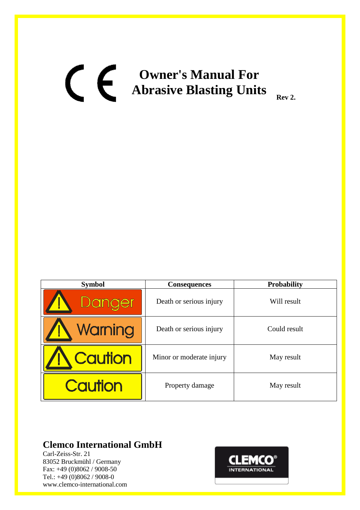# **Owner's Manual For Abrasive Blasting Units** Rev 2.

| <b>Symbol</b>  | <b>Consequences</b>      | <b>Probability</b> |
|----------------|--------------------------|--------------------|
| Danger         | Death or serious injury  | Will result        |
| Warning        | Death or serious injury  | Could result       |
| <b>Caution</b> | Minor or moderate injury | May result         |
| <b>Caution</b> | Property damage          | May result         |

# **Clemco International GmbH**

Carl-Zeiss-Str. 21 83052 Bruckmühl / Germany Fax: +49 (0)8062 / 9008-50 Tel.: +49 (0)8062 / 9008-0 www.clemco-international.com

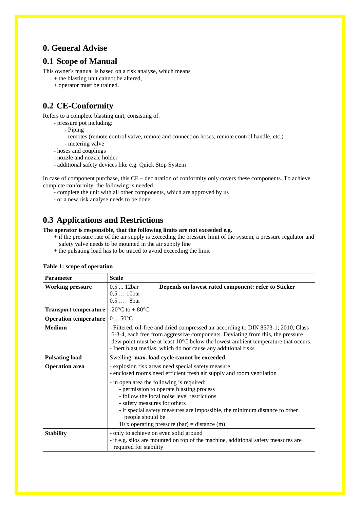## **0. General Advise**

## **0.1 Scope of Manual**

This owner's manual is based on a risk analyse, which means

- + the blasting unit cannot be altered,
- + operator must be trained.

# **0.2 CE-Conformity**

Refers to a complete blasting unit, consisting of.

- pressure pot including:
	- Piping
	- remotes (remote control valve, remote and connection hoses, remote control handle, etc.)
	- metering valve
- hoses and couplings
- nozzle and nozzle holder
- additional safety devices like e.g. Quick Stop System

In case of component purchase, this CE – declaration of conformity only covers these components. To achieve complete conformity, the following is needed

- complete the unit with all other components, which are approved by us
- or a new risk analyse needs to be done

## **0.3 Applications and Restrictions**

**The operator is responsible, that the following limits are not exceeded e.g.**

- + if the pressure rate of the air supply is exceeding the pressure limit of the system, a pressure regulator and safety valve needs to be mounted in the air supply line
- + the pulsating load has to be traced to avoid exceeding the limit

| <b>Parameter</b>                         | <b>Scale</b>                                                                                                                                                                                                                                                                                                               |  |  |
|------------------------------------------|----------------------------------------------------------------------------------------------------------------------------------------------------------------------------------------------------------------------------------------------------------------------------------------------------------------------------|--|--|
| <b>Working pressure</b>                  | $0,512$ bar<br>Depends on lowest rated component: refer to Sticker<br>$0,510$ bar<br>$0,5$ 8bar                                                                                                                                                                                                                            |  |  |
| <b>Transport temperature</b>             | -20 $\rm{^{\circ}C}$ to + 80 $\rm{^{\circ}C}$                                                                                                                                                                                                                                                                              |  |  |
| Operation temperature $ 0  50^{\circ}$ C |                                                                                                                                                                                                                                                                                                                            |  |  |
| <b>Medium</b>                            | - Filtered, oil-free and dried compressed air according to DIN 8573-1; 2010, Class<br>6-3-4, each free from aggressive components. Deviating from this, the pressure<br>dew point must be at least 10°C below the lowest ambient temperature that occurs.<br>- Inert blast medias, which do not cause any additional risks |  |  |
| <b>Pulsating load</b>                    | Swelling: max. load cycle cannot be exceeded                                                                                                                                                                                                                                                                               |  |  |
| <b>Operation</b> area                    | - explosion risk areas need special safety measure<br>- enclosed rooms need efficient fresh air supply and room ventilation                                                                                                                                                                                                |  |  |
|                                          | - in open area the following is required:<br>- permission to operate blasting process<br>- follow the local noise level restrictions<br>- safety measures for others<br>- if special safety measures are impossible, the minimum distance to other<br>people should be<br>10 x operating pressure (bar) = distance (m)     |  |  |
| <b>Stability</b>                         | - only to achieve on even solid ground<br>- if e.g. silos are mounted on top of the machine, additional safety measures are<br>required for stability                                                                                                                                                                      |  |  |

#### **Table 1: scope of operation**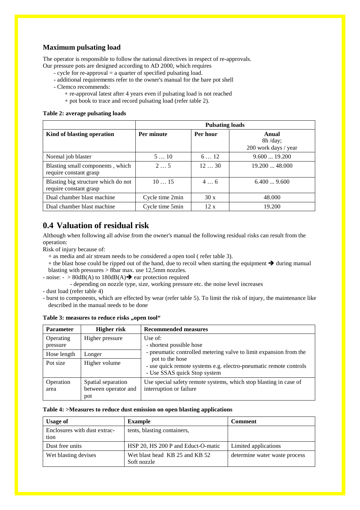### **Maximum pulsating load**

The operator is responsible to follow the national directives in respect of re-approvals.

- Our pressure pots are designed according to AD 2000, which requires
	- cycle for re-approval = a quarter of specified pulsating load.
	- additional requirements refer to the owner's manual for the bare pot shell
	- Clemco recommends:
		- + re-approval latest after 4 years even if pulsating load is not reached
		- + pot book to trace and record pulsating load (refer table 2).

#### **Table 2: average pulsating loads**

|                                                               | <b>Pulsating loads</b> |          |                                             |  |
|---------------------------------------------------------------|------------------------|----------|---------------------------------------------|--|
| Kind of blasting operation                                    | Per minute             | Per hour | Anual<br>$8h$ /day;<br>200 work days / year |  |
| Normal job blaster                                            | 510                    | 612      | 9.60019.200                                 |  |
| Blasting small components, which<br>require constant grasp    | $2 \ldots 5$           | 1230     | 19.20048.000                                |  |
| Blasting big structure which do not<br>require constant grasp | 1015                   | 46       | 6.4009.600                                  |  |
| Dual chamber blast machine                                    | Cycle time 2min        | 30x      | 48.000                                      |  |
| Dual chamber blast machine                                    | Cycle time 5min        | 12x      | 19.200                                      |  |

## **0.4 Valuation of residual risk**

Although when following all advise from the owner's manual the following residual risks can result from the operation:

Risk of injury because of:

- + as media and air stream needs to be considered a open tool ( refer table 3).
- $+$  the blast hose could be ripped out of the hand, due to recoil when starting the equipment  $\rightarrow$  during manual blasting with pressures > 8bar max. use 12,5mm nozzles.
- noise:  $-$  > 80dB(A) to 180dB(A)  $\rightarrow$  ear protection required
	- depending on nozzle type, size, working pressure etc. the noise level increases

- dust load (refer table 4)

- burst to components, which are effected by wear (refer table 5). To limit the risk of injury, the maintenance like described in the manual needs to be done

| Table 3: measures to reduce risks "open tool" |  |  |  |  |  |
|-----------------------------------------------|--|--|--|--|--|
|-----------------------------------------------|--|--|--|--|--|

| <b>Parameter</b>      | <b>Higher risk</b>                                | <b>Recommended measures</b>                                                                                          |
|-----------------------|---------------------------------------------------|----------------------------------------------------------------------------------------------------------------------|
| Operating<br>pressure | Higher pressure                                   | Use of:<br>- shortest possible hose                                                                                  |
| Hose length           | Longer                                            | - pneumatic controlled metering valve to limit expansion from the                                                    |
| Pot size              | Higher volume                                     | pot to the hose<br>- use quick remote systems e.g. electro-pneumatic remote controls<br>- Use SSAS quick Stop system |
| Operation<br>area     | Spatial separation<br>between operator and<br>pot | Use special safety remote systems, which stop blasting in case of<br>interruption or failure                         |

#### **Table 4: >Measures to reduce dust emission on open blasting applications**

| <b>Usage of</b>                      | <b>Example</b>                                | <b>Comment</b>                |
|--------------------------------------|-----------------------------------------------|-------------------------------|
| Enclosures with dust extrac-<br>tion | tents, blasting containers,                   |                               |
| Dust free units                      | HSP 20, HS 200 P and Educt-O-matic            | Limited applications          |
| Wet blasting devises                 | Wet blast head KB 25 and KB 52<br>Soft nozzle | determine water waste process |